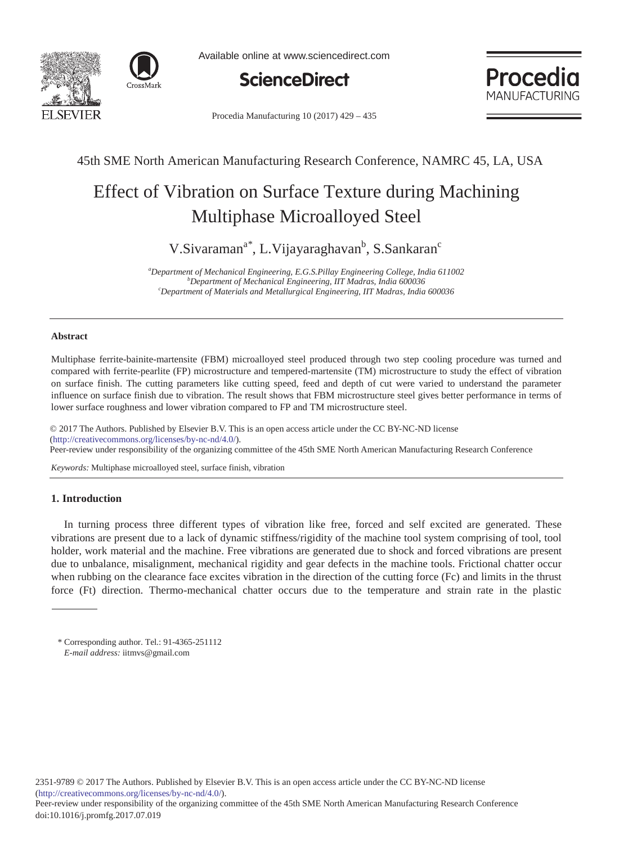



Available online at www.sciencedirect.com



Procedia MANI JEACTI JRING

Procedia Manufacturing  $10(2017)$  429 - 435

# 45th SME North American Manufacturing Research Conference, NAMRC 45, LA, USA

# Effect of Vibration on Surface Texture during Machining Multiphase Microalloyed Steel

V.Sivaraman<sup>a\*</sup>, L.Vijayaraghavan<sup>b</sup>, S.Sankaran<sup>c</sup>

*a Department of Mechanical Engineering, E.G.S.Pillay Engineering College, India 611002 <sup>b</sup> Department of Mechanical Engineering, IIT Madras, India 600036 <sup>c</sup> Department of Materials and Metallurgical Engineering, IIT Madras, India 600036*

#### **Abstract**

Multiphase ferrite-bainite-martensite (FBM) microalloyed steel produced through two step cooling procedure was turned and compared with ferrite-pearlite (FP) microstructure and tempered-martensite (TM) microstructure to study the effect of vibration on surface finish. The cutting parameters like cutting speed, feed and depth of cut were varied to understand the parameter influence on surface finish due to vibration. The result shows that FBM microstructure steel gives better performance in terms of lower surface roughness and lower vibration compared to FP and TM microstructure steel.

© 2017 The Authors. Published by Elsevier B.V. © 2017 The Authors. Published by Elsevier B.V. This is an open access article under the CC BY-NC-ND license (intp.//creativecommons.org/ncenses/oy-nc-nd/4.0/).<br>Peer-review under responsibility of the organizing committee of the 45th SME North American Manufacturing Research Conference (http://creativecommons.org/licenses/by-nc-nd/4.0/).

*Keywords:* Multiphase microalloyed steel, surface finish, vibration

## **1. Introduction**

In turning process three different types of vibration like free, forced and self excited are generated. These vibrations are present due to a lack of dynamic stiffness/rigidity of the machine tool system comprising of tool, tool holder, work material and the machine. Free vibrations are generated due to shock and forced vibrations are present due to unbalance, misalignment, mechanical rigidity and gear defects in the machine tools. Frictional chatter occur when rubbing on the clearance face excites vibration in the direction of the cutting force (Fc) and limits in the thrust force (Ft) direction. Thermo-mechanical chatter occurs due to the temperature and strain rate in the plastic

\* Corresponding author. Tel.: 91-4365-251112 *E-mail address:* iitmvs@gmail.com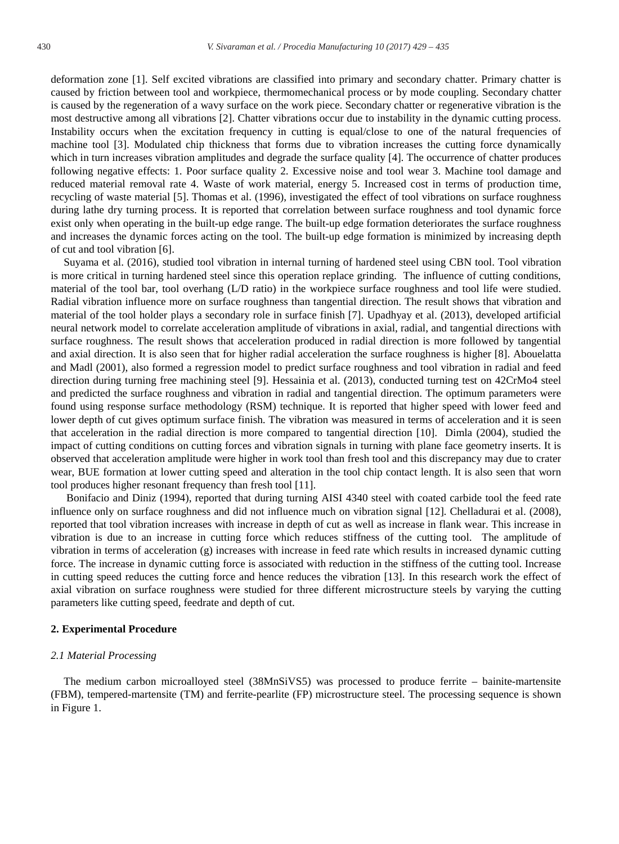deformation zone [1]. Self excited vibrations are classified into primary and secondary chatter. Primary chatter is caused by friction between tool and workpiece, thermomechanical process or by mode coupling. Secondary chatter is caused by the regeneration of a wavy surface on the work piece. Secondary chatter or regenerative vibration is the most destructive among all vibrations [2]. Chatter vibrations occur due to instability in the dynamic cutting process. Instability occurs when the excitation frequency in cutting is equal/close to one of the natural frequencies of machine tool [3]. Modulated chip thickness that forms due to vibration increases the cutting force dynamically which in turn increases vibration amplitudes and degrade the surface quality [4]. The occurrence of chatter produces following negative effects: 1. Poor surface quality 2. Excessive noise and tool wear 3. Machine tool damage and reduced material removal rate 4. Waste of work material, energy 5. Increased cost in terms of production time, recycling of waste material [5]. Thomas et al. (1996), investigated the effect of tool vibrations on surface roughness during lathe dry turning process. It is reported that correlation between surface roughness and tool dynamic force exist only when operating in the built-up edge range. The built-up edge formation deteriorates the surface roughness and increases the dynamic forces acting on the tool. The built-up edge formation is minimized by increasing depth of cut and tool vibration [6].

Suyama et al. (2016), studied tool vibration in internal turning of hardened steel using CBN tool. Tool vibration is more critical in turning hardened steel since this operation replace grinding. The influence of cutting conditions, material of the tool bar, tool overhang (L/D ratio) in the workpiece surface roughness and tool life were studied. Radial vibration influence more on surface roughness than tangential direction. The result shows that vibration and material of the tool holder plays a secondary role in surface finish [7]. Upadhyay et al. (2013), developed artificial neural network model to correlate acceleration amplitude of vibrations in axial, radial, and tangential directions with surface roughness. The result shows that acceleration produced in radial direction is more followed by tangential and axial direction. It is also seen that for higher radial acceleration the surface roughness is higher [8]. Abouelatta and Madl (2001), also formed a regression model to predict surface roughness and tool vibration in radial and feed direction during turning free machining steel [9]. Hessainia et al. (2013), conducted turning test on 42CrMo4 steel and predicted the surface roughness and vibration in radial and tangential direction. The optimum parameters were found using response surface methodology (RSM) technique. It is reported that higher speed with lower feed and lower depth of cut gives optimum surface finish. The vibration was measured in terms of acceleration and it is seen that acceleration in the radial direction is more compared to tangential direction [10]. Dimla (2004), studied the impact of cutting conditions on cutting forces and vibration signals in turning with plane face geometry inserts. It is observed that acceleration amplitude were higher in work tool than fresh tool and this discrepancy may due to crater wear, BUE formation at lower cutting speed and alteration in the tool chip contact length. It is also seen that worn tool produces higher resonant frequency than fresh tool [11].

Bonifacio and Diniz (1994), reported that during turning AISI 4340 steel with coated carbide tool the feed rate influence only on surface roughness and did not influence much on vibration signal [12]. Chelladurai et al. (2008), reported that tool vibration increases with increase in depth of cut as well as increase in flank wear. This increase in vibration is due to an increase in cutting force which reduces stiffness of the cutting tool. The amplitude of vibration in terms of acceleration (g) increases with increase in feed rate which results in increased dynamic cutting force. The increase in dynamic cutting force is associated with reduction in the stiffness of the cutting tool. Increase in cutting speed reduces the cutting force and hence reduces the vibration [13]. In this research work the effect of axial vibration on surface roughness were studied for three different microstructure steels by varying the cutting parameters like cutting speed, feedrate and depth of cut.

#### **2. Experimental Procedure**

# *2.1 Material Processing*

The medium carbon microalloyed steel (38MnSiVS5) was processed to produce ferrite – bainite-martensite (FBM), tempered-martensite (TM) and ferrite-pearlite (FP) microstructure steel. The processing sequence is shown in Figure 1.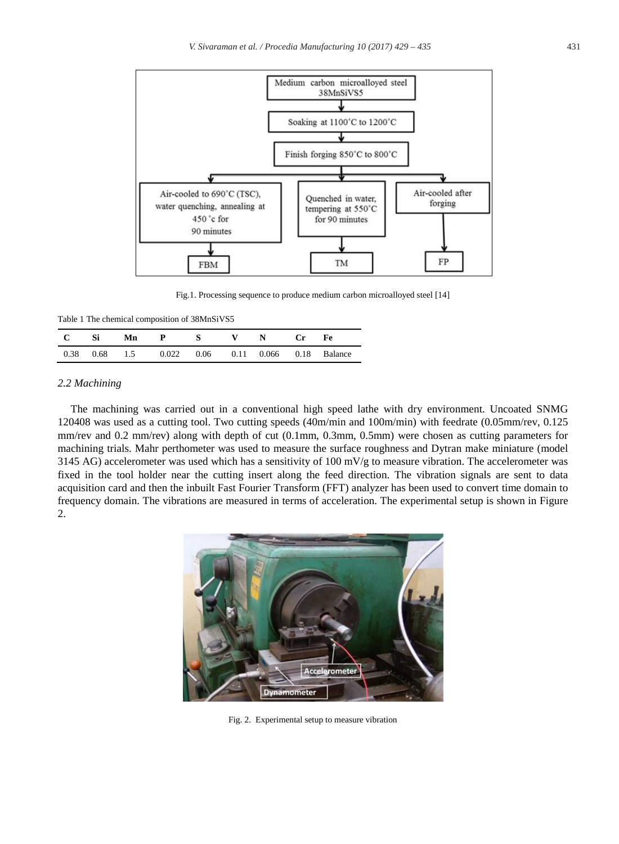

Fig.1. Processing sequence to produce medium carbon microalloyed steel [14]

Table 1 The chemical composition of 38MnSiVS5

| $\mathbf{C}$ | — Si | Mn |                                                  |  | $\mathbb N$ | Fe. |
|--------------|------|----|--------------------------------------------------|--|-------------|-----|
|              |      |    | 0.38 0.68 1.5 0.022 0.06 0.11 0.066 0.18 Balance |  |             |     |

#### *2.2 Machining*

The machining was carried out in a conventional high speed lathe with dry environment. Uncoated SNMG 120408 was used as a cutting tool. Two cutting speeds (40m/min and 100m/min) with feedrate (0.05mm/rev, 0.125 mm/rev and 0.2 mm/rev) along with depth of cut (0.1mm, 0.3mm, 0.5mm) were chosen as cutting parameters for machining trials. Mahr perthometer was used to measure the surface roughness and Dytran make miniature (model 3145 AG) accelerometer was used which has a sensitivity of 100 mV/g to measure vibration. The accelerometer was fixed in the tool holder near the cutting insert along the feed direction. The vibration signals are sent to data acquisition card and then the inbuilt Fast Fourier Transform (FFT) analyzer has been used to convert time domain to frequency domain. The vibrations are measured in terms of acceleration. The experimental setup is shown in Figure 2.



Fig. 2. Experimental setup to measure vibration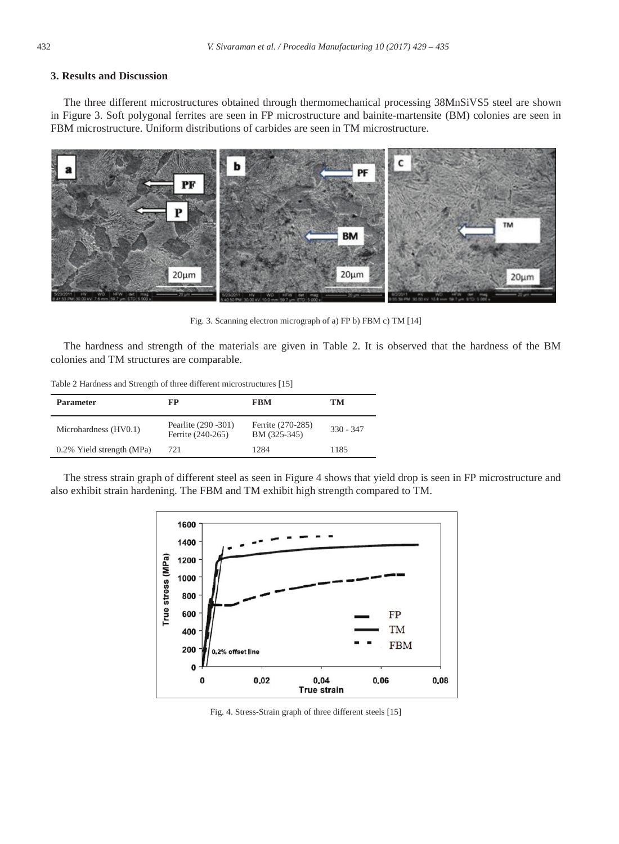## **3. Results and Discussion**

The three different microstructures obtained through thermomechanical processing 38MnSiVS5 steel are shown in Figure 3. Soft polygonal ferrites are seen in FP microstructure and bainite-martensite (BM) colonies are seen in FBM microstructure. Uniform distributions of carbides are seen in TM microstructure.



Fig. 3. Scanning electron micrograph of a) FP b) FBM c) TM [14]

The hardness and strength of the materials are given in Table 2. It is observed that the hardness of the BM colonies and TM structures are comparable.

Table 2 Hardness and Strength of three different microstructures [15]

| <b>Parameter</b>          | FP                                        | FBM                               | TM          |
|---------------------------|-------------------------------------------|-----------------------------------|-------------|
| Microhardness (HV0.1)     | Pearlite (290 - 301)<br>Ferrite (240-265) | Ferrite (270-285)<br>BM (325-345) | $330 - 347$ |
| 0.2% Yield strength (MPa) | 721                                       | 1284                              | 1185        |

The stress strain graph of different steel as seen in Figure 4 shows that yield drop is seen in FP microstructure and also exhibit strain hardening. The FBM and TM exhibit high strength compared to TM.



Fig. 4. Stress-Strain graph of three different steels [15]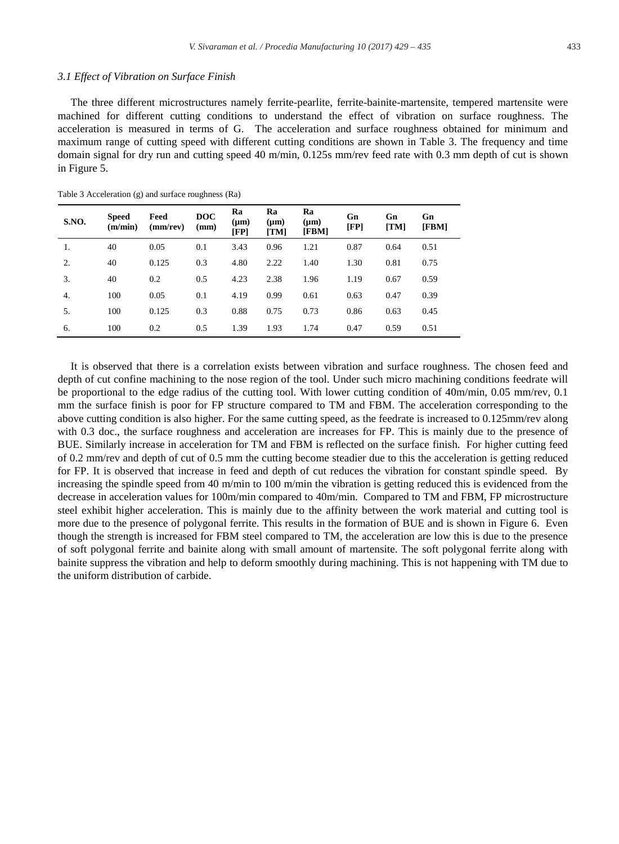#### *3.1 Effect of Vibration on Surface Finish*

The three different microstructures namely ferrite-pearlite, ferrite-bainite-martensite, tempered martensite were machined for different cutting conditions to understand the effect of vibration on surface roughness. The acceleration is measured in terms of G. The acceleration and surface roughness obtained for minimum and maximum range of cutting speed with different cutting conditions are shown in Table 3. The frequency and time domain signal for dry run and cutting speed 40 m/min, 0.125s mm/rev feed rate with 0.3 mm depth of cut is shown in Figure 5.

| S.NO. | <b>Speed</b><br>(m/min) | Feed<br>(mm/rev) | <b>DOC</b><br>(mm) | Ra<br>$(\mu m)$<br>[FP] | Ra<br>$(\mu m)$<br>[TM] | Ra<br>$(\mu m)$<br>[FBM] | Gn<br>[FP] | Gn<br>[TM] | Gn<br>[FBM] |
|-------|-------------------------|------------------|--------------------|-------------------------|-------------------------|--------------------------|------------|------------|-------------|
| 1.    | 40                      | 0.05             | 0.1                | 3.43                    | 0.96                    | 1.21                     | 0.87       | 0.64       | 0.51        |
| 2.    | 40                      | 0.125            | 0.3                | 4.80                    | 2.22                    | 1.40                     | 1.30       | 0.81       | 0.75        |
| 3.    | 40                      | 0.2              | 0.5                | 4.23                    | 2.38                    | 1.96                     | 1.19       | 0.67       | 0.59        |
| 4.    | 100                     | 0.05             | 0.1                | 4.19                    | 0.99                    | 0.61                     | 0.63       | 0.47       | 0.39        |
| 5.    | 100                     | 0.125            | 0.3                | 0.88                    | 0.75                    | 0.73                     | 0.86       | 0.63       | 0.45        |
| 6.    | 100                     | 0.2              | 0.5                | 1.39                    | 1.93                    | 1.74                     | 0.47       | 0.59       | 0.51        |

Table 3 Acceleration (g) and surface roughness (Ra)

It is observed that there is a correlation exists between vibration and surface roughness. The chosen feed and depth of cut confine machining to the nose region of the tool. Under such micro machining conditions feedrate will be proportional to the edge radius of the cutting tool. With lower cutting condition of 40m/min, 0.05 mm/rev, 0.1 mm the surface finish is poor for FP structure compared to TM and FBM. The acceleration corresponding to the above cutting condition is also higher. For the same cutting speed, as the feedrate is increased to 0.125mm/rev along with 0.3 doc., the surface roughness and acceleration are increases for FP. This is mainly due to the presence of BUE. Similarly increase in acceleration for TM and FBM is reflected on the surface finish. For higher cutting feed of 0.2 mm/rev and depth of cut of 0.5 mm the cutting become steadier due to this the acceleration is getting reduced for FP. It is observed that increase in feed and depth of cut reduces the vibration for constant spindle speed. By increasing the spindle speed from 40 m/min to 100 m/min the vibration is getting reduced this is evidenced from the decrease in acceleration values for 100m/min compared to 40m/min. Compared to TM and FBM, FP microstructure steel exhibit higher acceleration. This is mainly due to the affinity between the work material and cutting tool is more due to the presence of polygonal ferrite. This results in the formation of BUE and is shown in Figure 6. Even though the strength is increased for FBM steel compared to TM, the acceleration are low this is due to the presence of soft polygonal ferrite and bainite along with small amount of martensite. The soft polygonal ferrite along with bainite suppress the vibration and help to deform smoothly during machining. This is not happening with TM due to the uniform distribution of carbide.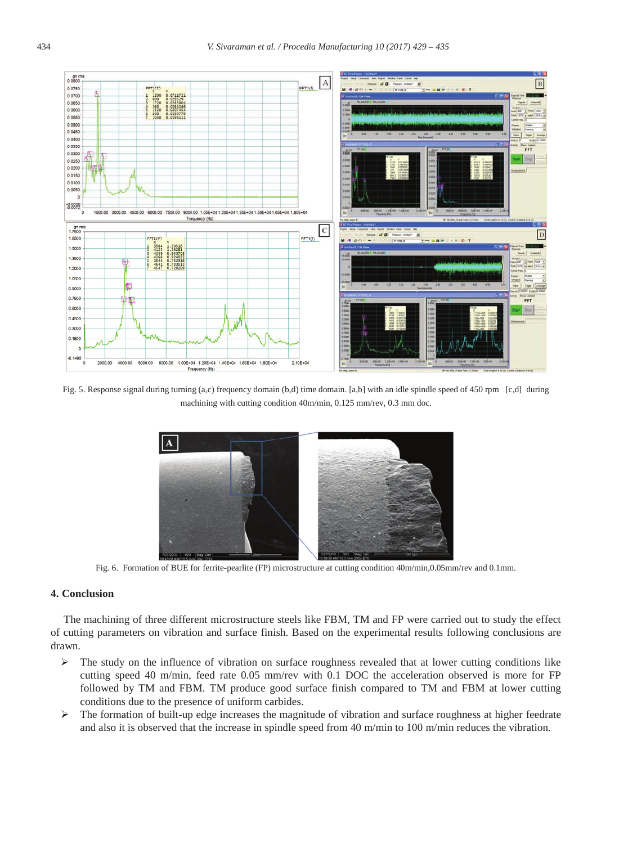

Fig. 5. Response signal during turning (a,c) frequency domain (b,d) time domain. [a,b] with an idle spindle speed of 450 rpm [c,d] during machining with cutting condition 40m/min, 0.125 mm/rev, 0.3 mm doc.



Fig. 6. Formation of BUE for ferrite-pearlite (FP) microstructure at cutting condition 40m/min,0.05mm/rev and 0.1mm.

#### **4. Conclusion**

The machining of three different microstructure steels like FBM, TM and FP were carried out to study the effect of cutting parameters on vibration and surface finish. Based on the experimental results following conclusions are drawn.

- $\triangleright$  The study on the influence of vibration on surface roughness revealed that at lower cutting conditions like cutting speed 40 m/min, feed rate 0.05 mm/rev with 0.1 DOC the acceleration observed is more for FP followed by TM and FBM. TM produce good surface finish compared to TM and FBM at lower cutting conditions due to the presence of uniform carbides.
- ¾ The formation of built-up edge increases the magnitude of vibration and surface roughness at higher feedrate and also it is observed that the increase in spindle speed from 40 m/min to 100 m/min reduces the vibration.